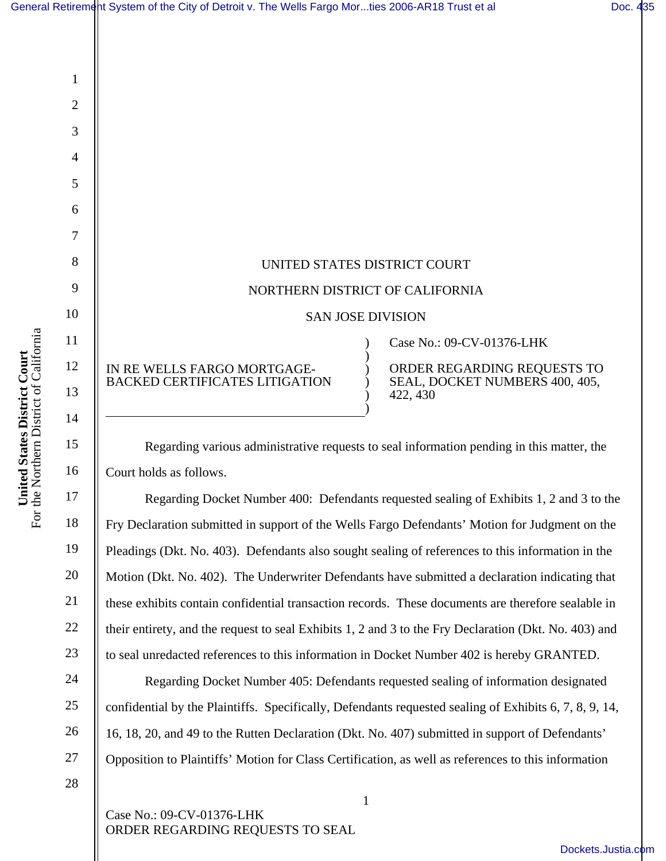

Regarding various administrative requests to seal information pending in this matter, the Court holds as follows.

Regarding Docket Number 400: Defendants requested sealing of Exhibits 1, 2 and 3 to the Fry Declaration submitted in support of the Wells Fargo Defendants' Motion for Judgment on the Pleadings (Dkt. No. 403). Defendants also sought sealing of references to this information in the Motion (Dkt. No. 402). The Underwriter Defendants have submitted a declaration indicating that these exhibits contain confidential transaction records. These documents are therefore sealable in their entirety, and the request to seal Exhibits 1, 2 and 3 to the Fry Declaration (Dkt. No. 403) and to seal unredacted references to this information in Docket Number 402 is hereby GRANTED.

Regarding Docket Number 405: Defendants requested sealing of information designated confidential by the Plaintiffs. Specifically, Defendants requested sealing of Exhibits 6, 7, 8, 9, 14, 16, 18, 20, and 49 to the Rutten Declaration (Dkt. No. 407) submitted in support of Defendants' Opposition to Plaintiffs' Motion for Class Certification, as well as references to this information

1

28

Case No.: 09-CV-01376-LHK ORDER REGARDING REQUESTS TO SEAL

1

2

3

4

5

6

7

8

9

10

11

12

13

14

15

16

17

18

19

20

21

22

23

24

25

26

27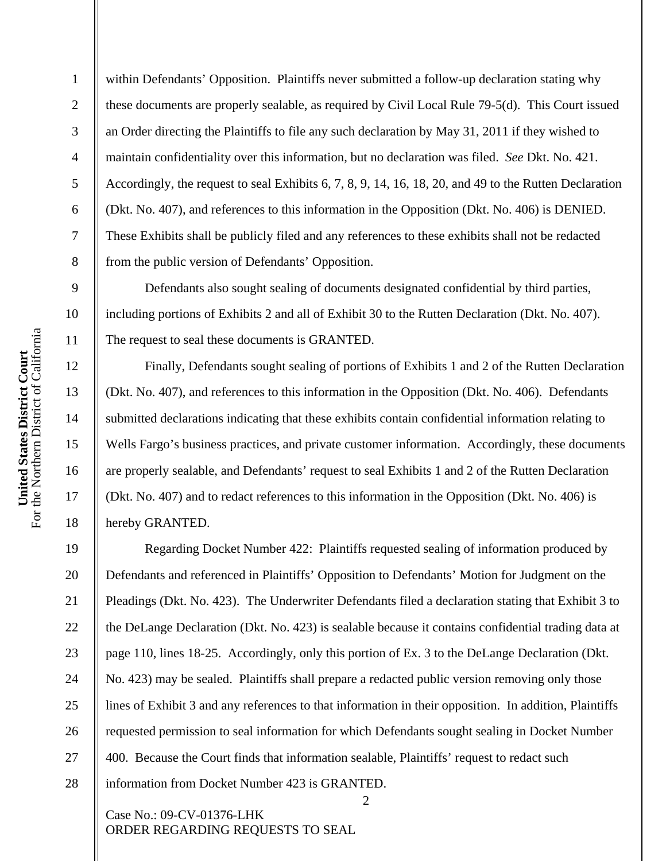within Defendants' Opposition. Plaintiffs never submitted a follow-up declaration stating why these documents are properly sealable, as required by Civil Local Rule 79-5(d). This Court issued an Order directing the Plaintiffs to file any such declaration by May 31, 2011 if they wished to maintain confidentiality over this information, but no declaration was filed. *See* Dkt. No. 421. Accordingly, the request to seal Exhibits 6, 7, 8, 9, 14, 16, 18, 20, and 49 to the Rutten Declaration (Dkt. No. 407), and references to this information in the Opposition (Dkt. No. 406) is DENIED. These Exhibits shall be publicly filed and any references to these exhibits shall not be redacted from the public version of Defendants' Opposition.

Defendants also sought sealing of documents designated confidential by third parties, including portions of Exhibits 2 and all of Exhibit 30 to the Rutten Declaration (Dkt. No. 407). The request to seal these documents is GRANTED.

Finally, Defendants sought sealing of portions of Exhibits 1 and 2 of the Rutten Declaration (Dkt. No. 407), and references to this information in the Opposition (Dkt. No. 406). Defendants submitted declarations indicating that these exhibits contain confidential information relating to Wells Fargo's business practices, and private customer information. Accordingly, these documents are properly sealable, and Defendants' request to seal Exhibits 1 and 2 of the Rutten Declaration (Dkt. No. 407) and to redact references to this information in the Opposition (Dkt. No. 406) is hereby GRANTED.

Regarding Docket Number 422: Plaintiffs requested sealing of information produced by Defendants and referenced in Plaintiffs' Opposition to Defendants' Motion for Judgment on the Pleadings (Dkt. No. 423). The Underwriter Defendants filed a declaration stating that Exhibit 3 to the DeLange Declaration (Dkt. No. 423) is sealable because it contains confidential trading data at page 110, lines 18-25. Accordingly, only this portion of Ex. 3 to the DeLange Declaration (Dkt. No. 423) may be sealed. Plaintiffs shall prepare a redacted public version removing only those lines of Exhibit 3 and any references to that information in their opposition. In addition, Plaintiffs requested permission to seal information for which Defendants sought sealing in Docket Number 400. Because the Court finds that information sealable, Plaintiffs' request to redact such information from Docket Number 423 is GRANTED.

2

Case No.: 09-CV-01376-LHK ORDER REGARDING REQUESTS TO SEAL

1

2

3

4

5

6

7

8

9

10

11

12

13

14

15

16

17

18

19

20

21

22

23

24

25

26

27

28